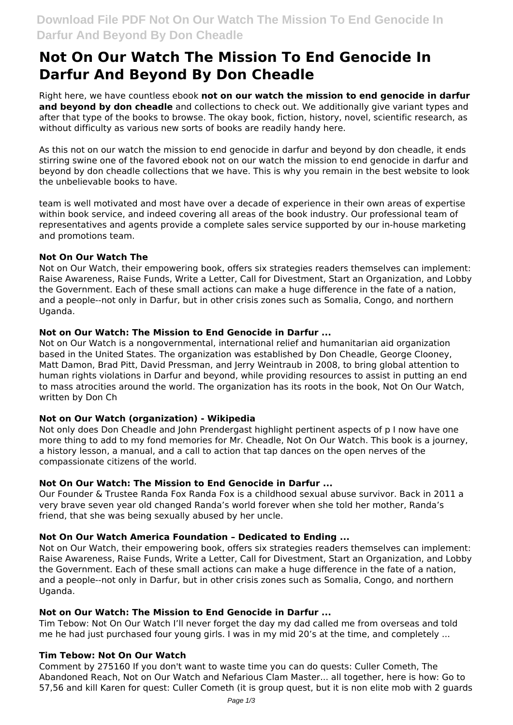# **Not On Our Watch The Mission To End Genocide In Darfur And Beyond By Don Cheadle**

Right here, we have countless ebook **not on our watch the mission to end genocide in darfur and beyond by don cheadle** and collections to check out. We additionally give variant types and after that type of the books to browse. The okay book, fiction, history, novel, scientific research, as without difficulty as various new sorts of books are readily handy here.

As this not on our watch the mission to end genocide in darfur and beyond by don cheadle, it ends stirring swine one of the favored ebook not on our watch the mission to end genocide in darfur and beyond by don cheadle collections that we have. This is why you remain in the best website to look the unbelievable books to have.

team is well motivated and most have over a decade of experience in their own areas of expertise within book service, and indeed covering all areas of the book industry. Our professional team of representatives and agents provide a complete sales service supported by our in-house marketing and promotions team.

## **Not On Our Watch The**

Not on Our Watch, their empowering book, offers six strategies readers themselves can implement: Raise Awareness, Raise Funds, Write a Letter, Call for Divestment, Start an Organization, and Lobby the Government. Each of these small actions can make a huge difference in the fate of a nation, and a people--not only in Darfur, but in other crisis zones such as Somalia, Congo, and northern Uganda.

## **Not on Our Watch: The Mission to End Genocide in Darfur ...**

Not on Our Watch is a nongovernmental, international relief and humanitarian aid organization based in the United States. The organization was established by Don Cheadle, George Clooney, Matt Damon, Brad Pitt, David Pressman, and Jerry Weintraub in 2008, to bring global attention to human rights violations in Darfur and beyond, while providing resources to assist in putting an end to mass atrocities around the world. The organization has its roots in the book, Not On Our Watch, written by Don Ch

## **Not on Our Watch (organization) - Wikipedia**

Not only does Don Cheadle and John Prendergast highlight pertinent aspects of p I now have one more thing to add to my fond memories for Mr. Cheadle, Not On Our Watch. This book is a journey, a history lesson, a manual, and a call to action that tap dances on the open nerves of the compassionate citizens of the world.

#### **Not On Our Watch: The Mission to End Genocide in Darfur ...**

Our Founder & Trustee Randa Fox Randa Fox is a childhood sexual abuse survivor. Back in 2011 a very brave seven year old changed Randa's world forever when she told her mother, Randa's friend, that she was being sexually abused by her uncle.

#### **Not On Our Watch America Foundation – Dedicated to Ending ...**

Not on Our Watch, their empowering book, offers six strategies readers themselves can implement: Raise Awareness, Raise Funds, Write a Letter, Call for Divestment, Start an Organization, and Lobby the Government. Each of these small actions can make a huge difference in the fate of a nation, and a people--not only in Darfur, but in other crisis zones such as Somalia, Congo, and northern Uganda.

#### **Not on Our Watch: The Mission to End Genocide in Darfur ...**

Tim Tebow: Not On Our Watch I'll never forget the day my dad called me from overseas and told me he had just purchased four young girls. I was in my mid 20's at the time, and completely ...

#### **Tim Tebow: Not On Our Watch**

Comment by 275160 If you don't want to waste time you can do quests: Culler Cometh, The Abandoned Reach, Not on Our Watch and Nefarious Clam Master... all together, here is how: Go to 57,56 and kill Karen for quest: Culler Cometh (it is group quest, but it is non elite mob with 2 guards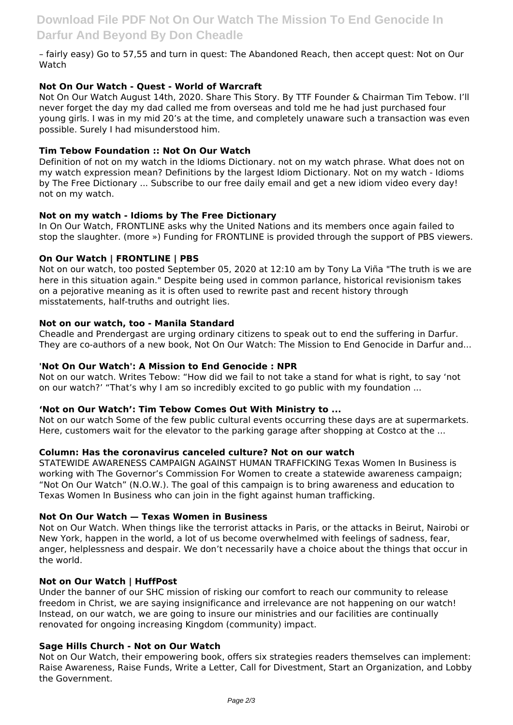– fairly easy) Go to 57,55 and turn in quest: The Abandoned Reach, then accept quest: Not on Our Watch

## **Not On Our Watch - Quest - World of Warcraft**

Not On Our Watch August 14th, 2020. Share This Story. By TTF Founder & Chairman Tim Tebow. I'll never forget the day my dad called me from overseas and told me he had just purchased four young girls. I was in my mid 20's at the time, and completely unaware such a transaction was even possible. Surely I had misunderstood him.

#### **Tim Tebow Foundation :: Not On Our Watch**

Definition of not on my watch in the Idioms Dictionary. not on my watch phrase. What does not on my watch expression mean? Definitions by the largest Idiom Dictionary. Not on my watch - Idioms by The Free Dictionary ... Subscribe to our free daily email and get a new idiom video every day! not on my watch.

#### **Not on my watch - Idioms by The Free Dictionary**

In On Our Watch, FRONTLINE asks why the United Nations and its members once again failed to stop the slaughter. (more ») Funding for FRONTLINE is provided through the support of PBS viewers.

#### **On Our Watch | FRONTLINE | PBS**

Not on our watch, too posted September 05, 2020 at 12:10 am by Tony La Viña "The truth is we are here in this situation again." Despite being used in common parlance, historical revisionism takes on a pejorative meaning as it is often used to rewrite past and recent history through misstatements, half-truths and outright lies.

#### **Not on our watch, too - Manila Standard**

Cheadle and Prendergast are urging ordinary citizens to speak out to end the suffering in Darfur. They are co-authors of a new book, Not On Our Watch: The Mission to End Genocide in Darfur and...

#### **'Not On Our Watch': A Mission to End Genocide : NPR**

Not on our watch. Writes Tebow: "How did we fail to not take a stand for what is right, to say 'not on our watch?' "That's why I am so incredibly excited to go public with my foundation ...

#### **'Not on Our Watch': Tim Tebow Comes Out With Ministry to ...**

Not on our watch Some of the few public cultural events occurring these days are at supermarkets. Here, customers wait for the elevator to the parking garage after shopping at Costco at the ...

#### **Column: Has the coronavirus canceled culture? Not on our watch**

STATEWIDE AWARENESS CAMPAIGN AGAINST HUMAN TRAFFICKING Texas Women In Business is working with The Governor's Commission For Women to create a statewide awareness campaign; "Not On Our Watch" (N.O.W.). The goal of this campaign is to bring awareness and education to Texas Women In Business who can join in the fight against human trafficking.

#### **Not On Our Watch — Texas Women in Business**

Not on Our Watch. When things like the terrorist attacks in Paris, or the attacks in Beirut, Nairobi or New York, happen in the world, a lot of us become overwhelmed with feelings of sadness, fear, anger, helplessness and despair. We don't necessarily have a choice about the things that occur in the world.

#### **Not on Our Watch | HuffPost**

Under the banner of our SHC mission of risking our comfort to reach our community to release freedom in Christ, we are saying insignificance and irrelevance are not happening on our watch! Instead, on our watch, we are going to insure our ministries and our facilities are continually renovated for ongoing increasing Kingdom (community) impact.

#### **Sage Hills Church - Not on Our Watch**

Not on Our Watch, their empowering book, offers six strategies readers themselves can implement: Raise Awareness, Raise Funds, Write a Letter, Call for Divestment, Start an Organization, and Lobby the Government.